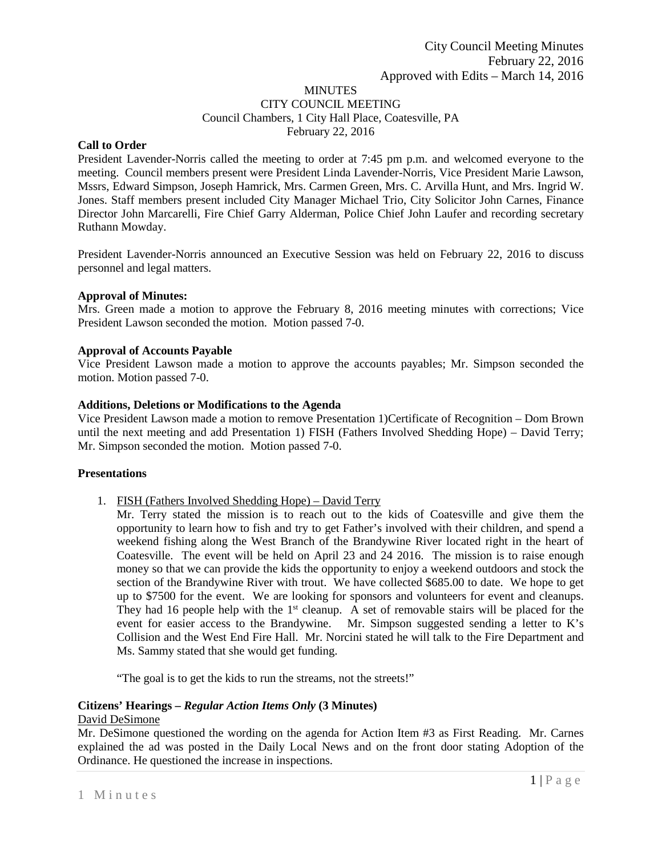# **MINUTES** CITY COUNCIL MEETING Council Chambers, 1 City Hall Place, Coatesville, PA February 22, 2016

# **Call to Order**

President Lavender-Norris called the meeting to order at 7:45 pm p.m. and welcomed everyone to the meeting. Council members present were President Linda Lavender-Norris, Vice President Marie Lawson, Mssrs, Edward Simpson, Joseph Hamrick, Mrs. Carmen Green, Mrs. C. Arvilla Hunt, and Mrs. Ingrid W. Jones. Staff members present included City Manager Michael Trio, City Solicitor John Carnes, Finance Director John Marcarelli, Fire Chief Garry Alderman, Police Chief John Laufer and recording secretary Ruthann Mowday.

President Lavender-Norris announced an Executive Session was held on February 22, 2016 to discuss personnel and legal matters.

# **Approval of Minutes:**

Mrs. Green made a motion to approve the February 8, 2016 meeting minutes with corrections; Vice President Lawson seconded the motion. Motion passed 7-0.

### **Approval of Accounts Payable**

Vice President Lawson made a motion to approve the accounts payables; Mr. Simpson seconded the motion. Motion passed 7-0.

### **Additions, Deletions or Modifications to the Agenda**

Vice President Lawson made a motion to remove Presentation 1)Certificate of Recognition – Dom Brown until the next meeting and add Presentation 1) FISH (Fathers Involved Shedding Hope) – David Terry; Mr. Simpson seconded the motion. Motion passed 7-0.

#### **Presentations**

- 1. FISH (Fathers Involved Shedding Hope) David Terry
	- Mr. Terry stated the mission is to reach out to the kids of Coatesville and give them the opportunity to learn how to fish and try to get Father's involved with their children, and spend a weekend fishing along the West Branch of the Brandywine River located right in the heart of Coatesville. The event will be held on April 23 and 24 2016. The mission is to raise enough money so that we can provide the kids the opportunity to enjoy a weekend outdoors and stock the section of the Brandywine River with trout. We have collected \$685.00 to date. We hope to get up to \$7500 for the event. We are looking for sponsors and volunteers for event and cleanups. They had 16 people help with the  $1<sup>st</sup>$  cleanup. A set of removable stairs will be placed for the event for easier access to the Brandywine. Mr. Simpson suggested sending a letter to K's Collision and the West End Fire Hall. Mr. Norcini stated he will talk to the Fire Department and Ms. Sammy stated that she would get funding.

"The goal is to get the kids to run the streams, not the streets!"

# **Citizens' Hearings –** *Regular Action Items Only* **(3 Minutes)**

# David DeSimone

Mr. DeSimone questioned the wording on the agenda for Action Item #3 as First Reading. Mr. Carnes explained the ad was posted in the Daily Local News and on the front door stating Adoption of the Ordinance. He questioned the increase in inspections.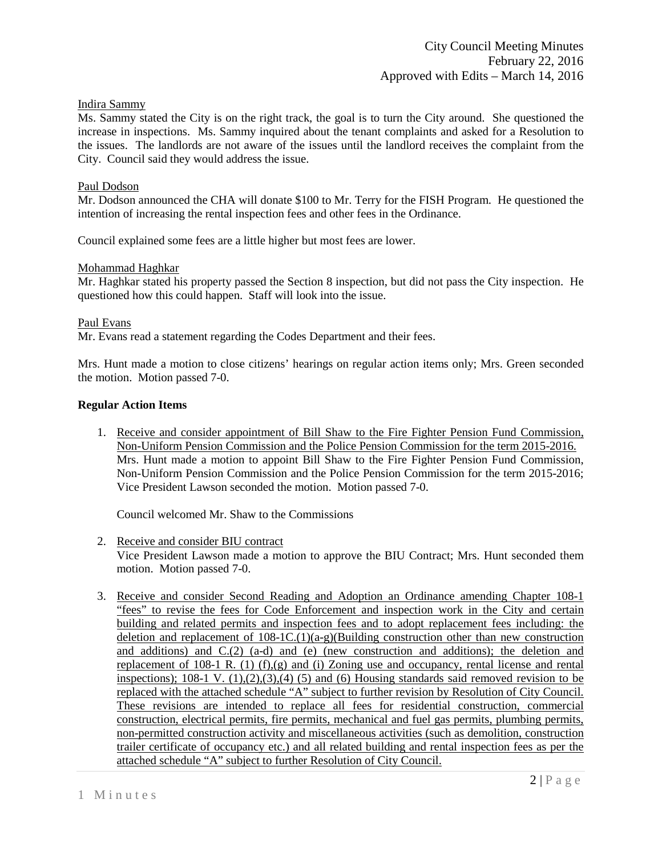# Indira Sammy

Ms. Sammy stated the City is on the right track, the goal is to turn the City around. She questioned the increase in inspections. Ms. Sammy inquired about the tenant complaints and asked for a Resolution to the issues. The landlords are not aware of the issues until the landlord receives the complaint from the City. Council said they would address the issue.

### Paul Dodson

Mr. Dodson announced the CHA will donate \$100 to Mr. Terry for the FISH Program. He questioned the intention of increasing the rental inspection fees and other fees in the Ordinance.

Council explained some fees are a little higher but most fees are lower.

### Mohammad Haghkar

Mr. Haghkar stated his property passed the Section 8 inspection, but did not pass the City inspection. He questioned how this could happen. Staff will look into the issue.

### Paul Evans

Mr. Evans read a statement regarding the Codes Department and their fees.

Mrs. Hunt made a motion to close citizens' hearings on regular action items only; Mrs. Green seconded the motion. Motion passed 7-0.

### **Regular Action Items**

1. Receive and consider appointment of Bill Shaw to the Fire Fighter Pension Fund Commission, Non-Uniform Pension Commission and the Police Pension Commission for the term 2015-2016. Mrs. Hunt made a motion to appoint Bill Shaw to the Fire Fighter Pension Fund Commission, Non-Uniform Pension Commission and the Police Pension Commission for the term 2015-2016; Vice President Lawson seconded the motion. Motion passed 7-0.

Council welcomed Mr. Shaw to the Commissions

2. Receive and consider BIU contract

Vice President Lawson made a motion to approve the BIU Contract; Mrs. Hunt seconded them motion. Motion passed 7-0.

3. Receive and consider Second Reading and Adoption an Ordinance amending Chapter 108-1 "fees" to revise the fees for Code Enforcement and inspection work in the City and certain building and related permits and inspection fees and to adopt replacement fees including: the deletion and replacement of  $108-1C(1)(a-g)$ (Building construction other than new construction and additions) and  $C(2)$  (a-d) and (e) (new construction and additions); the deletion and replacement of 108-1 R. (1) (f),(g) and (i) Zoning use and occupancy, rental license and rental inspections);  $108-1$  V.  $(1),(2),(3),(4)$  (5) and (6) Housing standards said removed revision to be replaced with the attached schedule "A" subject to further revision by Resolution of City Council. These revisions are intended to replace all fees for residential construction, commercial construction, electrical permits, fire permits, mechanical and fuel gas permits, plumbing permits, non-permitted construction activity and miscellaneous activities (such as demolition, construction trailer certificate of occupancy etc.) and all related building and rental inspection fees as per the attached schedule "A" subject to further Resolution of City Council.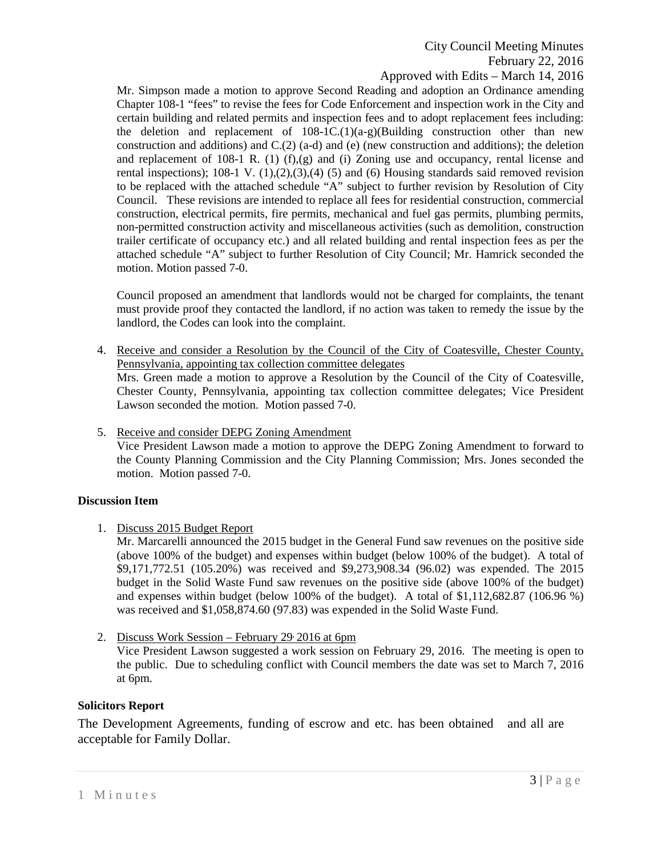# City Council Meeting Minutes February 22, 2016 Approved with Edits – March 14, 2016

Mr. Simpson made a motion to approve Second Reading and adoption an Ordinance amending Chapter 108-1 "fees" to revise the fees for Code Enforcement and inspection work in the City and certain building and related permits and inspection fees and to adopt replacement fees including: the deletion and replacement of  $108-1C(1)(a-g)$ (Building construction other than new construction and additions) and C.(2) (a-d) and (e) (new construction and additions); the deletion and replacement of 108-1 R. (1)  $(f)(g)$  and (i) Zoning use and occupancy, rental license and rental inspections);  $108-1$  V.  $(1),(2),(3),(4)$  (5) and (6) Housing standards said removed revision to be replaced with the attached schedule "A" subject to further revision by Resolution of City Council. These revisions are intended to replace all fees for residential construction, commercial construction, electrical permits, fire permits, mechanical and fuel gas permits, plumbing permits, non-permitted construction activity and miscellaneous activities (such as demolition, construction trailer certificate of occupancy etc.) and all related building and rental inspection fees as per the attached schedule "A" subject to further Resolution of City Council; Mr. Hamrick seconded the motion. Motion passed 7-0.

Council proposed an amendment that landlords would not be charged for complaints, the tenant must provide proof they contacted the landlord, if no action was taken to remedy the issue by the landlord, the Codes can look into the complaint.

- 4. Receive and consider a Resolution by the Council of the City of Coatesville, Chester County, Pennsylvania, appointing tax collection committee delegates Mrs. Green made a motion to approve a Resolution by the Council of the City of Coatesville, Chester County, Pennsylvania, appointing tax collection committee delegates; Vice President Lawson seconded the motion. Motion passed 7-0.
- 5. Receive and consider DEPG Zoning Amendment Vice President Lawson made a motion to approve the DEPG Zoning Amendment to forward to the County Planning Commission and the City Planning Commission; Mrs. Jones seconded the motion. Motion passed 7-0.

# **Discussion Item**

1. Discuss 2015 Budget Report

Mr. Marcarelli announced the 2015 budget in the General Fund saw revenues on the positive side (above 100% of the budget) and expenses within budget (below 100% of the budget). A total of \$9,171,772.51 (105.20%) was received and \$9,273,908.34 (96.02) was expended. The 2015 budget in the Solid Waste Fund saw revenues on the positive side (above 100% of the budget) and expenses within budget (below 100% of the budget). A total of  $$1,112,682.87$  (106.96 %) was received and \$1,058,874.60 (97.83) was expended in the Solid Waste Fund.

2. Discuss Work Session – February 29 2016 at 6pm Vice President Lawson suggested a work session on February 29, 2016. The meeting is open to the public. Due to scheduling conflict with Council members the date was set to March 7, 2016 at 6pm.

# **Solicitors Report**

The Development Agreements, funding of escrow and etc. has been obtained and all are acceptable for Family Dollar.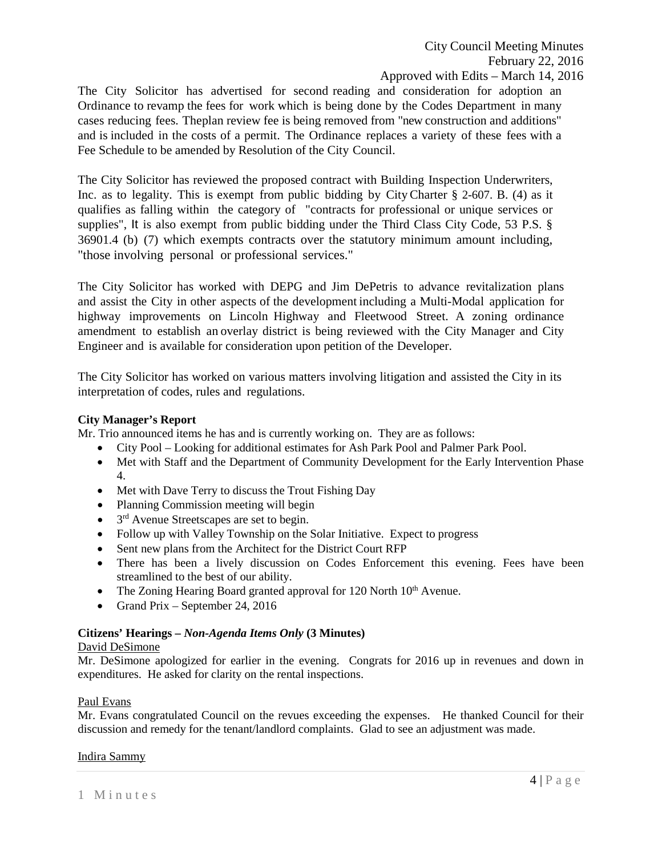The City Solicitor has advertised for second reading and consideration for adoption an Ordinance to revamp the fees for work which is being done by the Codes Department in many cases reducing fees. Theplan review fee is being removed from "new construction and additions" and is included in the costs of a permit. The Ordinance replaces a variety of these fees with a Fee Schedule to be amended by Resolution of the City Council.

The City Solicitor has reviewed the proposed contract with Building Inspection Underwriters, Inc. as to legality. This is exempt from public bidding by CityCharter § 2-607. B. (4) as it qualifies as falling within the category of "contracts for professional or unique services or supplies", It is also exempt from public bidding under the Third Class City Code, 53 P.S. § 36901.4 (b) (7) which exempts contracts over the statutory minimum amount including, "those involving personal or professional services."

The City Solicitor has worked with DEPG and Jim DePetris to advance revitalization plans and assist the City in other aspects of the development including a Multi-Modal application for highway improvements on Lincoln Highway and Fleetwood Street. A zoning ordinance amendment to establish an overlay district is being reviewed with the City Manager and City Engineer and is available for consideration upon petition of the Developer.

The City Solicitor has worked on various matters involving litigation and assisted the City in its interpretation of codes, rules and regulations.

# **City Manager's Report**

Mr. Trio announced items he has and is currently working on. They are as follows:

- City Pool Looking for additional estimates for Ash Park Pool and Palmer Park Pool.
- Met with Staff and the Department of Community Development for the Early Intervention Phase 4.
- Met with Dave Terry to discuss the Trout Fishing Day
- Planning Commission meeting will begin
- $\bullet$  3<sup>rd</sup> Avenue Streetscapes are set to begin.
- Follow up with Valley Township on the Solar Initiative. Expect to progress
- Sent new plans from the Architect for the District Court RFP
- There has been a lively discussion on Codes Enforcement this evening. Fees have been streamlined to the best of our ability.
- The Zoning Hearing Board granted approval for 120 North  $10<sup>th</sup>$  Avenue.
- Grand Prix September 24, 2016

# **Citizens' Hearings –** *Non-Agenda Items Only* **(3 Minutes)**

# David DeSimone

Mr. DeSimone apologized for earlier in the evening. Congrats for 2016 up in revenues and down in expenditures. He asked for clarity on the rental inspections.

# Paul Evans

Mr. Evans congratulated Council on the revues exceeding the expenses. He thanked Council for their discussion and remedy for the tenant/landlord complaints. Glad to see an adjustment was made.

# Indira Sammy